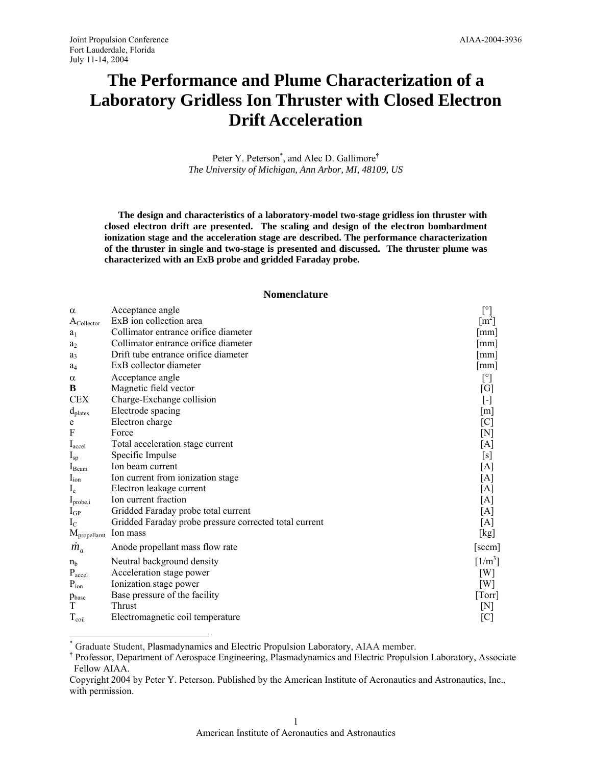$\overline{a}$ 

# **The Performance and Plume Characterization of a Laboratory Gridless Ion Thruster with Closed Electron Drift Acceleration**

Peter Y. Peterson<sup>\*</sup>, and Alec D. Gallimore<sup>†</sup> *The University of Michigan, Ann Arbor, MI, 48109, US* 

**The design and characteristics of a laboratory-model two-stage gridless ion thruster with closed electron drift are presented. The scaling and design of the electron bombardment ionization stage and the acceleration stage are described. The performance characterization of the thruster in single and two-stage is presented and discussed. The thruster plume was characterized with an ExB probe and gridded Faraday probe.** 

#### **Nomenclature**

| $\alpha$                    | Acceptance angle                                       | $[^{\circ}]$          |
|-----------------------------|--------------------------------------------------------|-----------------------|
| $A_{\text{Collection}}$     | ExB ion collection area                                | $\text{[m}^2\text{]}$ |
| a <sub>1</sub>              | Collimator entrance orifice diameter                   | mm                    |
| $a_2$                       | Collimator entrance orifice diameter                   | mm                    |
| $a_3$                       | Drift tube entrance orifice diameter                   | $\lceil$ mm $\rceil$  |
| $a_4$                       | ExB collector diameter                                 | $\lceil$ mm $\rceil$  |
| $\alpha$                    | Acceptance angle                                       | $[^{\circ}]$          |
| B                           | Magnetic field vector                                  | [G]                   |
| <b>CEX</b>                  | Charge-Exchange collision                              | $[\cdot]$             |
| d <sub>plates</sub>         | Electrode spacing                                      | [m]                   |
| e                           | Electron charge                                        | [C]                   |
| F                           | Force                                                  | $[{\rm N}]$           |
| $I_{\text{accel}}$          | Total acceleration stage current                       | [A]                   |
| $I_{sp}$                    | Specific Impulse                                       | [s]                   |
| $I_{\text{Beam}}$           | Ion beam current                                       | [A]                   |
| $I_{\text{ion}}$            | Ion current from ionization stage                      | [A]                   |
| $I_{e}$                     | Electron leakage current                               | [A]                   |
| $I_{\text{probe},i}$        | Ion current fraction                                   | [A]                   |
| $I_{GP}$                    | Gridded Faraday probe total current                    | [A]                   |
| $I_{\rm C}$                 | Gridded Faraday probe pressure corrected total current | [A]                   |
| $M_{\text{propellamt}}$     | Ion mass                                               | [kg]                  |
| $m_a$                       | Anode propellant mass flow rate                        | [sccm]                |
| $n_{h}$                     | Neutral background density                             | $[1/m^3]$             |
| $\mathbf{P}_{\text{accel}}$ | Acceleration stage power                               | $\lceil W \rceil$     |
| $P_{ion}$                   | Ionization stage power                                 | [W]                   |
| P <sub>base</sub>           | Base pressure of the facility                          | [Torr]                |
| T                           | Thrust                                                 | $[{\rm N}]$           |
| $T_{\text{coil}}$           | Electromagnetic coil temperature                       | [C]                   |

\* Graduate Student, Plasmadynamics and Electric Propulsion Laboratory, AIAA member. †

<sup>&</sup>lt;sup>†</sup> Professor, Department of Aerospace Engineering, Plasmadynamics and Electric Propulsion Laboratory, Associate Fellow AIAA.

Copyright 2004 by Peter Y. Peterson. Published by the American Institute of Aeronautics and Astronautics, Inc., with permission.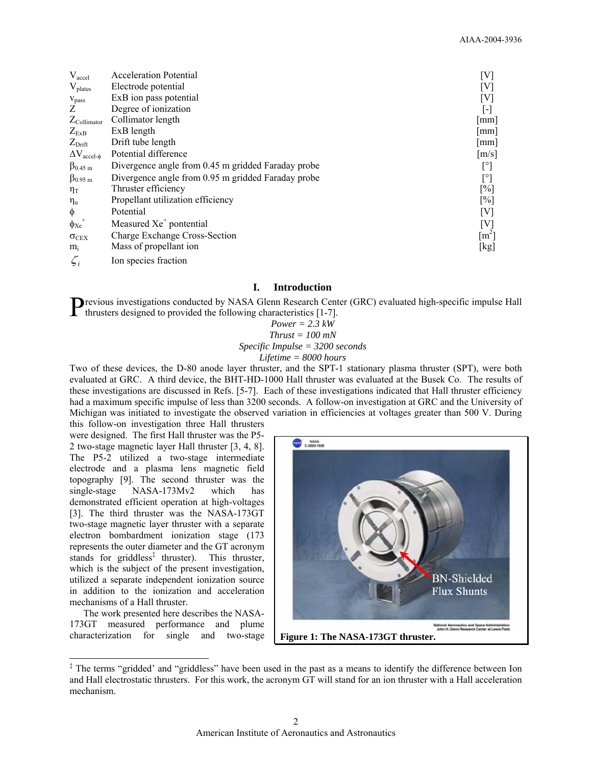| $V_{\text{accel}}$             | <b>Acceleration Potential</b>                      | [V]                 |
|--------------------------------|----------------------------------------------------|---------------------|
| V <sub>plates</sub>            | Electrode potential                                | [V]                 |
| $V_{pass}$                     | ExB ion pass potential                             | $[\mathrm{V}]$      |
| Z                              | Degree of ionization                               | ŀ                   |
| $Z_{\text{Collimator}}$        | Collimator length                                  | mm                  |
| $Z_{ExB}$                      | ExB length                                         | mm                  |
| $Z_{\text{Drift}}$             | Drift tube length                                  | mm                  |
| $\Delta V_{\text{accel-}\phi}$ | Potential difference                               | $\lceil m/s \rceil$ |
| $\beta_{0.45 \text{ m}}$       | Divergence angle from 0.45 m gridded Faraday probe | $[^{\circ}]$        |
| $\beta_{0.95 \text{ m}}$       | Divergence angle from 0.95 m gridded Faraday probe | $[^{\circ}]$        |
| $\eta_T$                       | Thruster efficiency                                | $\lceil\% \rceil$   |
| $\eta_u$                       | Propellant utilization efficiency                  | $\lceil\% \rceil$   |
| $\phi$                         | Potential                                          | [V]                 |
| $\phi_{Xe}$                    | Measured Xe <sup>+</sup> pontential                | [V]                 |
| $\sigma$ <sub>CEX</sub>        | Charge Exchange Cross-Section                      | $\lceil m^2 \rceil$ |
| $m_i$                          | Mass of propellant ion                             | [kg]                |
| $\zeta_i$                      | Ion species fraction                               |                     |

# **I. Introduction**

**P**revious investigations conducted by NASA Glenn Research Center (GRC) evaluated high-specific impulse Hall thrusters designed to provided the following characteristics [1-7].  $\triangleright$  thrusters designed to provided the following characteristics [1-7].

*Power = 2.3 kW Thrust = 100 mN Specific Impulse = 3200 seconds Lifetime = 8000 hours* 

Two of these devices, the D-80 anode layer thruster, and the SPT-1 stationary plasma thruster (SPT), were both evaluated at GRC. A third device, the BHT-HD-1000 Hall thruster was evaluated at the Busek Co. The results of these investigations are discussed in Refs. [5-7]. Each of these investigations indicated that Hall thruster efficiency had a maximum specific impulse of less than 3200 seconds. A follow-on investigation at GRC and the University of Michigan was initiated to investigate the observed variation in efficiencies at voltages greater than 500 V. During

this follow-on investigation three Hall thrusters were designed. The first Hall thruster was the P5- 2 two-stage magnetic layer Hall thruster [3, 4, 8]. The P5-2 utilized a two-stage intermediate electrode and a plasma lens magnetic field topography [9]. The second thruster was the single-stage NASA-173Mv2 which has demonstrated efficient operation at high-voltages [3]. The third thruster was the NASA-173GT two-stage magnetic layer thruster with a separate electron bombardment ionization stage (173 represents the outer diameter and the GT acronym stands for griddless<sup>‡</sup> thruster). This thruster, which is the subject of the present investigation, utilized a separate independent ionization source in addition to the ionization and acceleration mechanisms of a Hall thruster.

The work presented here describes the NASA-173GT measured performance and plume characterization for single and two-stage

 $\overline{a}$ 



<sup>&</sup>lt;sup>‡</sup> The terms "gridded' and "griddless" have been used in the past as a means to identify the difference between Ion and Hall electrostatic thrusters. For this work, the acronym GT will stand for an ion thruster with a Hall acceleration mechanism.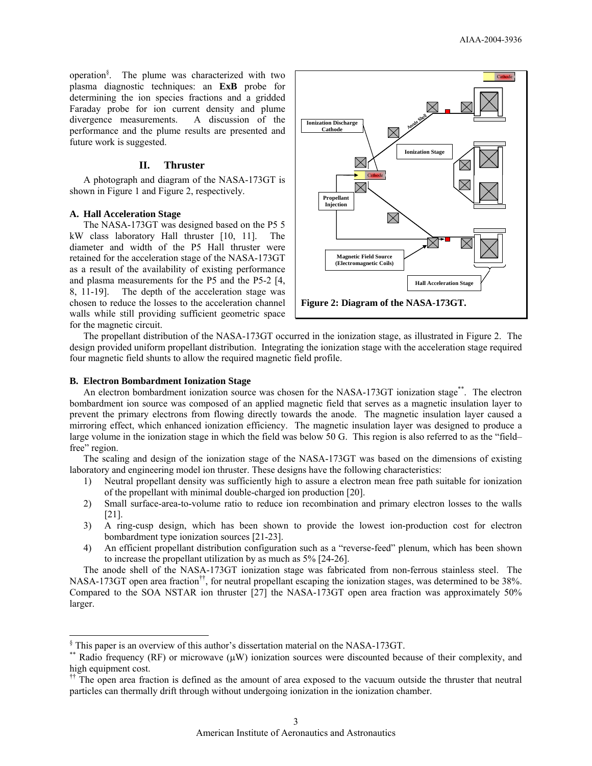operation§ . The plume was characterized with two plasma diagnostic techniques: an **ExB** probe for determining the ion species fractions and a gridded Faraday probe for ion current density and plume divergence measurements. A discussion of the performance and the plume results are presented and future work is suggested.

# **II. Thruster**

A photograph and diagram of the NASA-173GT is shown in Figure 1 and Figure 2, respectively.

#### **A. Hall Acceleration Stage**

 $\overline{a}$ 

The NASA-173GT was designed based on the P5 5 kW class laboratory Hall thruster [10, 11]. The diameter and width of the P5 Hall thruster were retained for the acceleration stage of the NASA-173GT as a result of the availability of existing performance and plasma measurements for the P5 and the P5-2 [4, 8, 11-19]. The depth of the acceleration stage was chosen to reduce the losses to the acceleration channel walls while still providing sufficient geometric space for the magnetic circuit.



The propellant distribution of the NASA-173GT occurred in the ionization stage, as illustrated in Figure 2. The design provided uniform propellant distribution. Integrating the ionization stage with the acceleration stage required four magnetic field shunts to allow the required magnetic field profile.

#### **B. Electron Bombardment Ionization Stage**

An electron bombardment ionization source was chosen for the NASA-173GT ionization stage\*\*. The electron bombardment ion source was composed of an applied magnetic field that serves as a magnetic insulation layer to prevent the primary electrons from flowing directly towards the anode. The magnetic insulation layer caused a mirroring effect, which enhanced ionization efficiency. The magnetic insulation layer was designed to produce a large volume in the ionization stage in which the field was below 50 G. This region is also referred to as the "field– free" region.

The scaling and design of the ionization stage of the NASA-173GT was based on the dimensions of existing laboratory and engineering model ion thruster. These designs have the following characteristics:

- 1) Neutral propellant density was sufficiently high to assure a electron mean free path suitable for ionization of the propellant with minimal double-charged ion production [20].
- 2) Small surface-area-to-volume ratio to reduce ion recombination and primary electron losses to the walls [21].
- 3) A ring-cusp design, which has been shown to provide the lowest ion-production cost for electron bombardment type ionization sources [21-23].
- 4) An efficient propellant distribution configuration such as a "reverse-feed" plenum, which has been shown to increase the propellant utilization by as much as 5% [24-26].

The anode shell of the NASA-173GT ionization stage was fabricated from non-ferrous stainless steel. The NASA-173GT open area fraction††, for neutral propellant escaping the ionization stages, was determined to be 38%. Compared to the SOA NSTAR ion thruster [27] the NASA-173GT open area fraction was approximately 50% larger.

<sup>§</sup> This paper is an overview of this author's dissertation material on the NASA-173GT.

<sup>\*\*</sup> Radio frequency (RF) or microwave (µW) ionization sources were discounted because of their complexity, and high equipment cost.

<sup>&</sup>lt;sup>††</sup> The open area fraction is defined as the amount of area exposed to the vacuum outside the thruster that neutral particles can thermally drift through without undergoing ionization in the ionization chamber.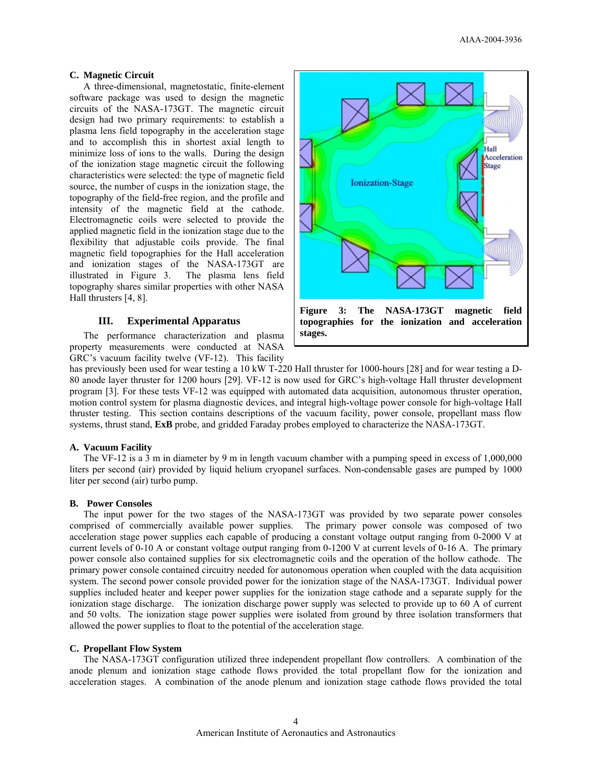# **C. Magnetic Circuit**

A three-dimensional, magnetostatic, finite-element software package was used to design the magnetic circuits of the NASA-173GT. The magnetic circuit design had two primary requirements: to establish a plasma lens field topography in the acceleration stage and to accomplish this in shortest axial length to minimize loss of ions to the walls. During the design of the ionization stage magnetic circuit the following characteristics were selected: the type of magnetic field source, the number of cusps in the ionization stage, the topography of the field-free region, and the profile and intensity of the magnetic field at the cathode. Electromagnetic coils were selected to provide the applied magnetic field in the ionization stage due to the flexibility that adjustable coils provide. The final magnetic field topographies for the Hall acceleration and ionization stages of the NASA-173GT are illustrated in Figure 3. The plasma lens field topography shares similar properties with other NASA Hall thrusters [4, 8].

#### **III. Experimental Apparatus**

The performance characterization and plasma property measurements were conducted at NASA GRC's vacuum facility twelve (VF-12). This facility



has previously been used for wear testing a 10 kW T-220 Hall thruster for 1000-hours [28] and for wear testing a D-80 anode layer thruster for 1200 hours [29]. VF-12 is now used for GRC's high-voltage Hall thruster development program [3]. For these tests VF-12 was equipped with automated data acquisition, autonomous thruster operation, motion control system for plasma diagnostic devices, and integral high-voltage power console for high-voltage Hall thruster testing. This section contains descriptions of the vacuum facility, power console, propellant mass flow systems, thrust stand, **ExB** probe, and gridded Faraday probes employed to characterize the NASA-173GT.

### **A. Vacuum Facility**

The VF-12 is a 3 m in diameter by 9 m in length vacuum chamber with a pumping speed in excess of 1,000,000 liters per second (air) provided by liquid helium cryopanel surfaces. Non-condensable gases are pumped by 1000 liter per second (air) turbo pump.

#### **B. Power Consoles**

The input power for the two stages of the NASA-173GT was provided by two separate power consoles comprised of commercially available power supplies. The primary power console was composed of two acceleration stage power supplies each capable of producing a constant voltage output ranging from 0-2000 V at current levels of 0-10 A or constant voltage output ranging from 0-1200 V at current levels of 0-16 A. The primary power console also contained supplies for six electromagnetic coils and the operation of the hollow cathode. The primary power console contained circuitry needed for autonomous operation when coupled with the data acquisition system. The second power console provided power for the ionization stage of the NASA-173GT. Individual power supplies included heater and keeper power supplies for the ionization stage cathode and a separate supply for the ionization stage discharge. The ionization discharge power supply was selected to provide up to 60 A of current and 50 volts. The ionization stage power supplies were isolated from ground by three isolation transformers that allowed the power supplies to float to the potential of the acceleration stage.

### **C. Propellant Flow System**

The NASA-173GT configuration utilized three independent propellant flow controllers. A combination of the anode plenum and ionization stage cathode flows provided the total propellant flow for the ionization and acceleration stages. A combination of the anode plenum and ionization stage cathode flows provided the total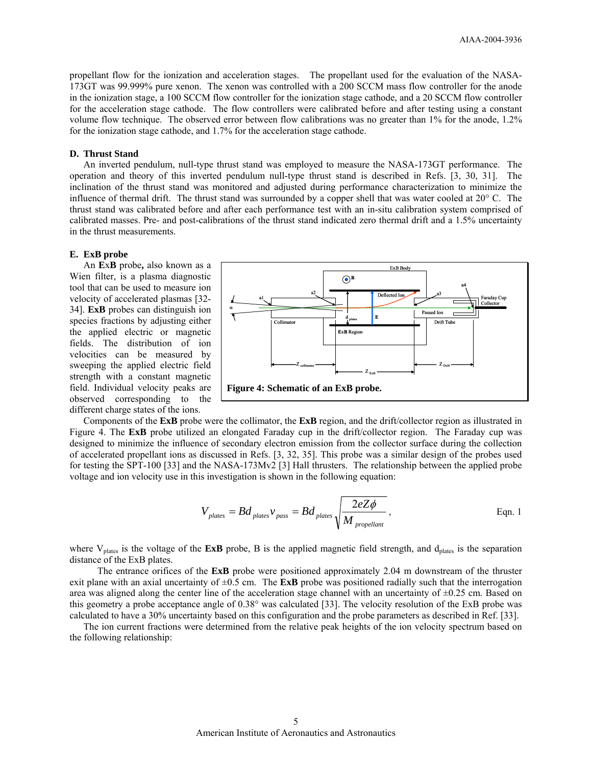propellant flow for the ionization and acceleration stages. The propellant used for the evaluation of the NASA-173GT was 99.999% pure xenon. The xenon was controlled with a 200 SCCM mass flow controller for the anode in the ionization stage, a 100 SCCM flow controller for the ionization stage cathode, and a 20 SCCM flow controller for the acceleration stage cathode. The flow controllers were calibrated before and after testing using a constant volume flow technique. The observed error between flow calibrations was no greater than 1% for the anode, 1.2% for the ionization stage cathode, and 1.7% for the acceleration stage cathode.

# **D. Thrust Stand**

An inverted pendulum, null-type thrust stand was employed to measure the NASA-173GT performance. The operation and theory of this inverted pendulum null-type thrust stand is described in Refs. [3, 30, 31]. The inclination of the thrust stand was monitored and adjusted during performance characterization to minimize the influence of thermal drift. The thrust stand was surrounded by a copper shell that was water cooled at 20° C. The thrust stand was calibrated before and after each performance test with an in-situ calibration system comprised of calibrated masses. Pre- and post-calibrations of the thrust stand indicated zero thermal drift and a 1.5% uncertainty in the thrust measurements.

#### **E. ExB probe**

An **E**x**B** probe**,** also known as a Wien filter, is a plasma diagnostic tool that can be used to measure ion velocity of accelerated plasmas [32- 34]. **ExB** probes can distinguish ion species fractions by adjusting either the applied electric or magnetic fields. The distribution of ion velocities can be measured by sweeping the applied electric field strength with a constant magnetic field. Individual velocity peaks are observed corresponding to the different charge states of the ions.



Components of the **ExB** probe were the collimator, the **ExB** region, and the drift/collector region as illustrated in Figure 4. The **ExB** probe utilized an elongated Faraday cup in the drift/collector region. The Faraday cup was designed to minimize the influence of secondary electron emission from the collector surface during the collection of accelerated propellant ions as discussed in Refs. [3, 32, 35]. This probe was a similar design of the probes used for testing the SPT-100 [33] and the NASA-173Mv2 [3] Hall thrusters. The relationship between the applied probe voltage and ion velocity use in this investigation is shown in the following equation:

$$
V_{\text{plates}} = Bd_{\text{plates}}v_{\text{pass}} = Bd_{\text{plates}}\sqrt{\frac{2eZ\phi}{M_{\text{propellant}}}},
$$
 Eqn. 1

where V<sub>plates</sub> is the voltage of the **ExB** probe, B is the applied magnetic field strength, and d<sub>plates</sub> is the separation distance of the ExB plates.

 The entrance orifices of the **ExB** probe were positioned approximately 2.04 m downstream of the thruster exit plane with an axial uncertainty of  $\pm 0.5$  cm. The **ExB** probe was positioned radially such that the interrogation area was aligned along the center line of the acceleration stage channel with an uncertainty of  $\pm 0.25$  cm. Based on this geometry a probe acceptance angle of 0.38° was calculated [33]. The velocity resolution of the ExB probe was calculated to have a 30% uncertainty based on this configuration and the probe parameters as described in Ref. [33].

The ion current fractions were determined from the relative peak heights of the ion velocity spectrum based on the following relationship: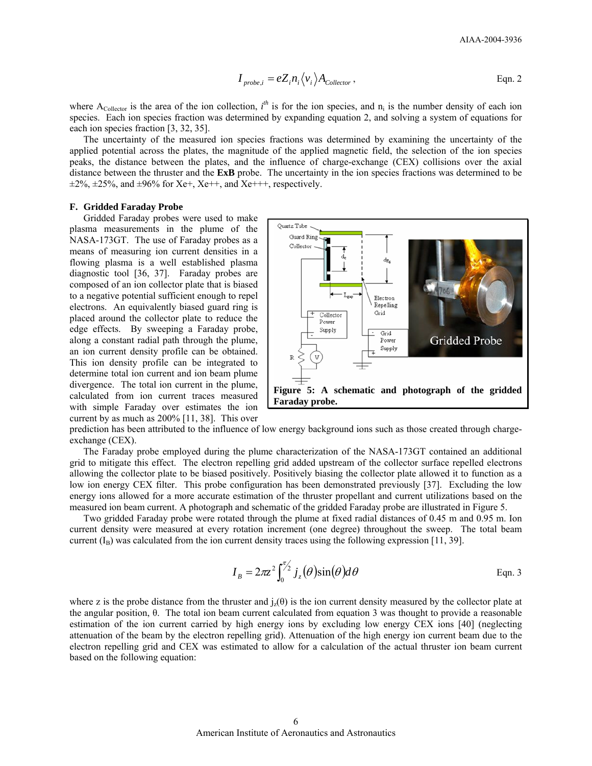$$
I_{\text{probe},i} = eZ_i n_i \langle v_i \rangle A_{\text{Collection}} ,
$$
 Eqn. 2

where  $A_{\text{Collection}}$  is the area of the ion collection,  $i^{th}$  is for the ion species, and  $n_i$  is the number density of each ion species. Each ion species fraction was determined by expanding equation 2, and solving a system of equations for each ion species fraction [3, 32, 35].

The uncertainty of the measured ion species fractions was determined by examining the uncertainty of the applied potential across the plates, the magnitude of the applied magnetic field, the selection of the ion species peaks, the distance between the plates, and the influence of charge-exchange (CEX) collisions over the axial distance between the thruster and the **ExB** probe. The uncertainty in the ion species fractions was determined to be  $\pm 2\%$ ,  $\pm 25\%$ , and  $\pm 96\%$  for Xe+, Xe++, and Xe+++, respectively.

#### **F. Gridded Faraday Probe**

Gridded Faraday probes were used to make plasma measurements in the plume of the NASA-173GT. The use of Faraday probes as a means of measuring ion current densities in a flowing plasma is a well established plasma diagnostic tool [36, 37]. Faraday probes are composed of an ion collector plate that is biased to a negative potential sufficient enough to repel electrons. An equivalently biased guard ring is placed around the collector plate to reduce the edge effects. By sweeping a Faraday probe, along a constant radial path through the plume, an ion current density profile can be obtained. This ion density profile can be integrated to determine total ion current and ion beam plume divergence. The total ion current in the plume, calculated from ion current traces measured with simple Faraday over estimates the ion current by as much as 200% [11, 38]. This over



prediction has been attributed to the influence of low energy background ions such as those created through chargeexchange (CEX).

The Faraday probe employed during the plume characterization of the NASA-173GT contained an additional grid to mitigate this effect. The electron repelling grid added upstream of the collector surface repelled electrons allowing the collector plate to be biased positively. Positively biasing the collector plate allowed it to function as a low ion energy CEX filter. This probe configuration has been demonstrated previously [37]. Excluding the low energy ions allowed for a more accurate estimation of the thruster propellant and current utilizations based on the measured ion beam current. A photograph and schematic of the gridded Faraday probe are illustrated in Figure 5.

Two gridded Faraday probe were rotated through the plume at fixed radial distances of 0.45 m and 0.95 m. Ion current density were measured at every rotation increment (one degree) throughout the sweep. The total beam current  $(I_B)$  was calculated from the ion current density traces using the following expression [11, 39].

$$
I_B = 2\pi z^2 \int_0^{\pi/2} j_z(\theta) \sin(\theta) d\theta
$$
 Eqn. 3

where z is the probe distance from the thruster and  $j_z(\theta)$  is the ion current density measured by the collector plate at the angular position, θ. The total ion beam current calculated from equation 3 was thought to provide a reasonable estimation of the ion current carried by high energy ions by excluding low energy CEX ions [40] (neglecting attenuation of the beam by the electron repelling grid). Attenuation of the high energy ion current beam due to the electron repelling grid and CEX was estimated to allow for a calculation of the actual thruster ion beam current based on the following equation: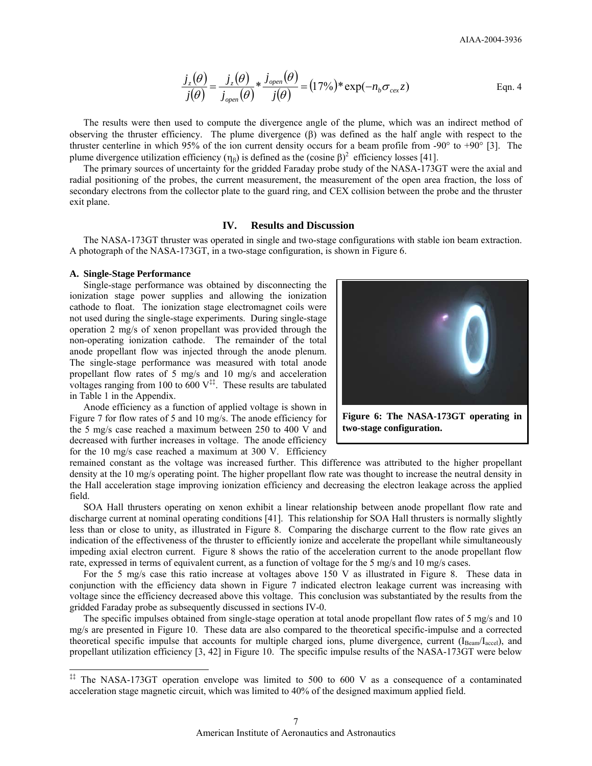$$
\frac{j_z(\theta)}{j(\theta)} = \frac{j_z(\theta)}{j_{open}(\theta)} * \frac{j_{open}(\theta)}{j(\theta)} = (17\%) * \exp(-n_b \sigma_{cex} z)
$$
Eqn. 4

The results were then used to compute the divergence angle of the plume, which was an indirect method of observing the thruster efficiency. The plume divergence (β) was defined as the half angle with respect to the thruster centerline in which 95% of the ion current density occurs for a beam profile from -90 $^{\circ}$  to +90 $^{\circ}$  [3]. The plume divergence utilization efficiency  $(\eta_{\beta})$  is defined as the (cosine  $\beta$ )<sup>2</sup> efficiency losses [41].

The primary sources of uncertainty for the gridded Faraday probe study of the NASA-173GT were the axial and radial positioning of the probes, the current measurement, the measurement of the open area fraction, the loss of secondary electrons from the collector plate to the guard ring, and CEX collision between the probe and the thruster exit plane.

# **IV. Results and Discussion**

The NASA-173GT thruster was operated in single and two-stage configurations with stable ion beam extraction. A photograph of the NASA-173GT, in a two-stage configuration, is shown in Figure 6.

#### **A. Single-Stage Performance**

-

Single-stage performance was obtained by disconnecting the ionization stage power supplies and allowing the ionization cathode to float. The ionization stage electromagnet coils were not used during the single-stage experiments. During single-stage operation 2 mg/s of xenon propellant was provided through the non-operating ionization cathode. The remainder of the total anode propellant flow was injected through the anode plenum. The single-stage performance was measured with total anode propellant flow rates of 5 mg/s and 10 mg/s and acceleration voltages ranging from 100 to  $\overline{600}$  V<sup>‡‡</sup>. These results are tabulated in Table 1 in the Appendix.

Anode efficiency as a function of applied voltage is shown in Figure 7 for flow rates of 5 and 10 mg/s. The anode efficiency for the 5 mg/s case reached a maximum between 250 to 400 V and decreased with further increases in voltage. The anode efficiency for the 10 mg/s case reached a maximum at 300 V. Efficiency

remained constant as the voltage was increased further. This difference was attributed to the higher propellant density at the 10 mg/s operating point. The higher propellant flow rate was thought to increase the neutral density in the Hall acceleration stage improving ionization efficiency and decreasing the electron leakage across the applied field.

SOA Hall thrusters operating on xenon exhibit a linear relationship between anode propellant flow rate and discharge current at nominal operating conditions [41]. This relationship for SOA Hall thrusters is normally slightly less than or close to unity, as illustrated in Figure 8. Comparing the discharge current to the flow rate gives an indication of the effectiveness of the thruster to efficiently ionize and accelerate the propellant while simultaneously impeding axial electron current. Figure 8 shows the ratio of the acceleration current to the anode propellant flow rate, expressed in terms of equivalent current, as a function of voltage for the 5 mg/s and 10 mg/s cases.

For the 5 mg/s case this ratio increase at voltages above 150 V as illustrated in Figure 8. These data in conjunction with the efficiency data shown in Figure 7 indicated electron leakage current was increasing with voltage since the efficiency decreased above this voltage. This conclusion was substantiated by the results from the gridded Faraday probe as subsequently discussed in sections IV-0.

The specific impulses obtained from single-stage operation at total anode propellant flow rates of 5 mg/s and 10 mg/s are presented in Figure 10. These data are also compared to the theoretical specific-impulse and a corrected theoretical specific impulse that accounts for multiple charged ions, plume divergence, current  $(I_{\text{Beam}}/I_{\text{accel}})$ , and propellant utilization efficiency [3, 42] in Figure 10. The specific impulse results of the NASA-173GT were below



<sup>‡‡</sup> The NASA-173GT operation envelope was limited to 500 to 600 V as a consequence of a contaminated acceleration stage magnetic circuit, which was limited to 40% of the designed maximum applied field.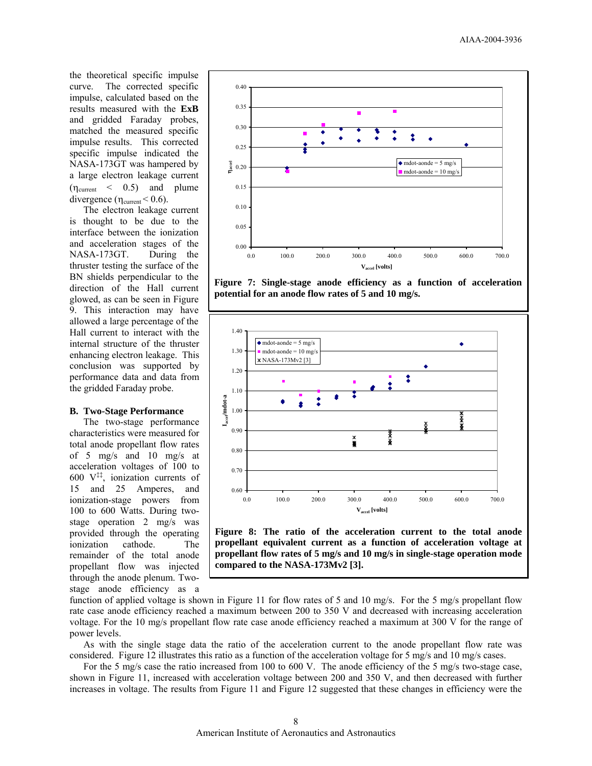the theoretical specific impulse curve. The corrected specific impulse, calculated based on the results measured with the **ExB** and gridded Faraday probes, matched the measured specific impulse results. This corrected specific impulse indicated the NASA-173GT was hampered by a large electron leakage current  $(\eta_{\text{current}} \leq 0.5)$  and plume divergence  $(\eta_{\text{current}} < 0.6)$ .

The electron leakage current is thought to be due to the interface between the ionization and acceleration stages of the NASA-173GT. During the thruster testing the surface of the BN shields perpendicular to the direction of the Hall current glowed, as can be seen in Figure 9. This interaction may have allowed a large percentage of the Hall current to interact with the internal structure of the thruster enhancing electron leakage. This conclusion was supported by performance data and data from the gridded Faraday probe.

#### **B. Two-Stage Performance**

The two-stage performance characteristics were measured for total anode propellant flow rates of 5 mg/s and 10 mg/s at acceleration voltages of 100 to 600  $V^{\ddagger\ddagger}$ , ionization currents of 15 and 25 Amperes, and ionization-stage powers from 100 to 600 Watts. During twostage operation 2 mg/s was provided through the operating ionization cathode. The remainder of the total anode propellant flow was injected through the anode plenum. Twostage anode efficiency as a



**Figure 7: Single-stage anode efficiency as a function of acceleration potential for an anode flow rates of 5 and 10 mg/s.** 



**Figure 8: The ratio of the acceleration current to the total anode propellant equivalent current as a function of acceleration voltage at propellant flow rates of 5 mg/s and 10 mg/s in single-stage operation mode compared to the NASA-173Mv2 [3].** 

function of applied voltage is shown in Figure 11 for flow rates of 5 and 10 mg/s. For the 5 mg/s propellant flow rate case anode efficiency reached a maximum between 200 to 350 V and decreased with increasing acceleration voltage. For the 10 mg/s propellant flow rate case anode efficiency reached a maximum at 300 V for the range of power levels.

As with the single stage data the ratio of the acceleration current to the anode propellant flow rate was considered. Figure 12 illustrates this ratio as a function of the acceleration voltage for 5 mg/s and 10 mg/s cases.

For the 5 mg/s case the ratio increased from 100 to 600 V. The anode efficiency of the 5 mg/s two-stage case, shown in Figure 11, increased with acceleration voltage between 200 and 350 V, and then decreased with further increases in voltage. The results from Figure 11 and Figure 12 suggested that these changes in efficiency were the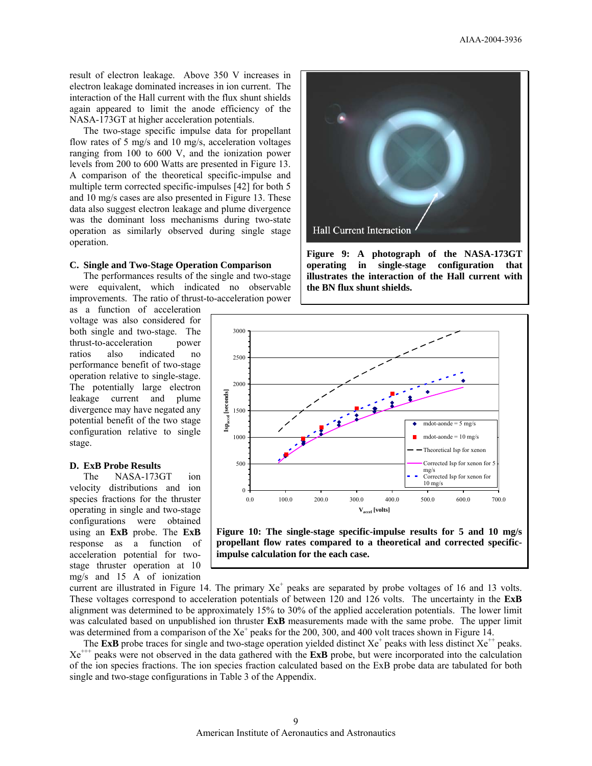result of electron leakage. Above 350 V increases in electron leakage dominated increases in ion current. The interaction of the Hall current with the flux shunt shields again appeared to limit the anode efficiency of the NASA-173GT at higher acceleration potentials.

The two-stage specific impulse data for propellant flow rates of 5 mg/s and 10 mg/s, acceleration voltages ranging from 100 to 600 V, and the ionization power levels from 200 to 600 Watts are presented in Figure 13. A comparison of the theoretical specific-impulse and multiple term corrected specific-impulses [42] for both 5 and 10 mg/s cases are also presented in Figure 13. These data also suggest electron leakage and plume divergence was the dominant loss mechanisms during two-state operation as similarly observed during single stage operation.

# **C. Single and Two-Stage Operation Comparison**

The performances results of the single and two-stage were equivalent, which indicated no observable improvements. The ratio of thrust-to-acceleration power

as a function of acceleration voltage was also considered for both single and two-stage. The thrust-to-acceleration power thrust-to-acceleration ratios also indicated no performance benefit of two-stage operation relative to single-stage. The potentially large electron leakage current and plume divergence may have negated any potential benefit of the two stage configuration relative to single stage.

#### **D. ExB Probe Results**

The NASA-173GT ion velocity distributions and ion species fractions for the thruster operating in single and two-stage configurations were obtained using an **ExB** probe. The **ExB** response as a function of acceleration potential for twostage thruster operation at 10 mg/s and 15 A of ionization



**Figure 9: A photograph of the NASA-173GT operating in single-stage configuration that illustrates the interaction of the Hall current with the BN flux shunt shields.** 



**Figure 10: The single-stage specific-impulse results for 5 and 10 mg/s propellant flow rates compared to a theoretical and corrected specificimpulse calculation for the each case.** 

current are illustrated in Figure 14. The primary  $Xe^+$  peaks are separated by probe voltages of 16 and 13 volts. These voltages correspond to acceleration potentials of between 120 and 126 volts. The uncertainty in the **ExB** alignment was determined to be approximately 15% to 30% of the applied acceleration potentials. The lower limit was calculated based on unpublished ion thruster **ExB** measurements made with the same probe. The upper limit was determined from a comparison of the  $Xe^+$  peaks for the 200, 300, and 400 volt traces shown in Figure 14.

The **ExB** probe traces for single and two-stage operation yielded distinct  $Xe^+$  peaks with less distinct  $Xe^+$  peaks. Xe+++ peaks were not observed in the data gathered with the **ExB** probe, but were incorporated into the calculation of the ion species fractions. The ion species fraction calculated based on the ExB probe data are tabulated for both single and two-stage configurations in Table 3 of the Appendix.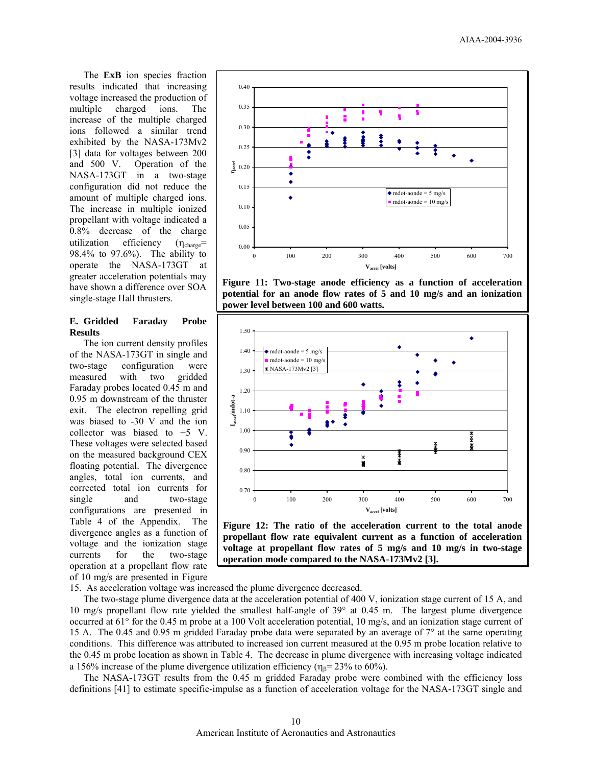The **ExB** ion species fraction results indicated that increasing voltage increased the production of multiple charged ions. The increase of the multiple charged ions followed a similar trend exhibited by the NASA-173Mv2 [3] data for voltages between 200 and 500 V. Operation of the NASA-173GT in a two-stage configuration did not reduce the amount of multiple charged ions. The increase in multiple ionized propellant with voltage indicated a 0.8% decrease of the charge utilization efficiency  $(\eta_{charge}$ = 98.4% to 97.6%). The ability to operate the NASA-173GT at greater acceleration potentials may have shown a difference over SOA single-stage Hall thrusters.

# **E. Gridded Faraday Probe Results**

The ion current density profiles of the NASA-173GT in single and two-stage configuration were measured with two gridded Faraday probes located 0.45 m and 0.95 m downstream of the thruster exit. The electron repelling grid was biased to -30 V and the ion collector was biased to +5 V. These voltages were selected based on the measured background CEX floating potential. The divergence angles, total ion currents, and corrected total ion currents for single and two-stage configurations are presented in Table 4 of the Appendix. The divergence angles as a function of voltage and the ionization stage currents for the two-stage operation at a propellant flow rate of 10 mg/s are presented in Figure



**Figure 11: Two-stage anode efficiency as a function of acceleration potential for an anode flow rates of 5 and 10 mg/s and an ionization power level between 100 and 600 watts.** 



**Figure 12: The ratio of the acceleration current to the total anode propellant flow rate equivalent current as a function of acceleration voltage at propellant flow rates of 5 mg/s and 10 mg/s in two-stage operation mode compared to the NASA-173Mv2 [3].** 

15. As acceleration voltage was increased the plume divergence decreased.

The two-stage plume divergence data at the acceleration potential of 400 V, ionization stage current of 15 A, and 10 mg/s propellant flow rate yielded the smallest half-angle of 39° at 0.45 m. The largest plume divergence occurred at 61° for the 0.45 m probe at a 100 Volt acceleration potential, 10 mg/s, and an ionization stage current of 15 A. The 0.45 and 0.95 m gridded Faraday probe data were separated by an average of 7° at the same operating conditions. This difference was attributed to increased ion current measured at the 0.95 m probe location relative to the 0.45 m probe location as shown in Table 4. The decrease in plume divergence with increasing voltage indicated a 156% increase of the plume divergence utilization efficiency ( $\eta_8$ = 23% to 60%).

The NASA-173GT results from the 0.45 m gridded Faraday probe were combined with the efficiency loss definitions [41] to estimate specific-impulse as a function of acceleration voltage for the NASA-173GT single and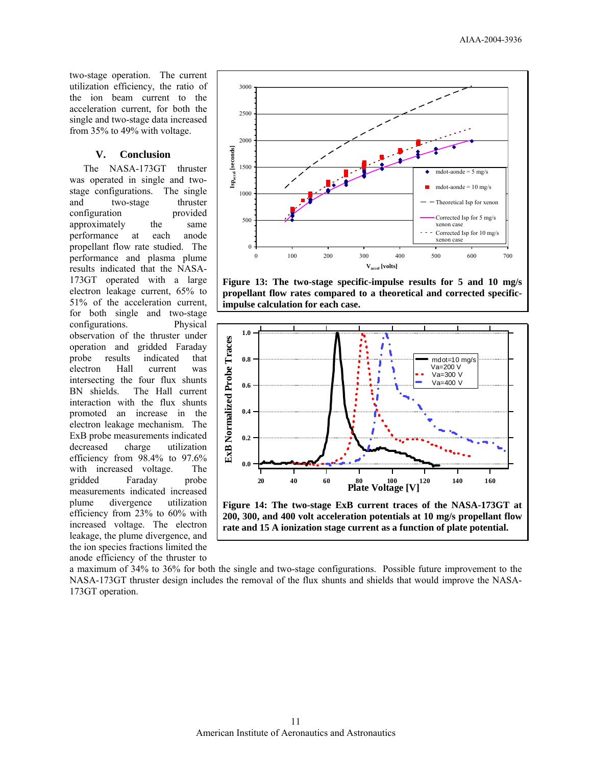two-stage operation. The current utilization efficiency, the ratio of the ion beam current to the acceleration current, for both the single and two-stage data increased from 35% to 49% with voltage.

# **V. Conclusion**

The NASA-173GT thruster was operated in single and twostage configurations. The single and two-stage thruster configuration provided approximately the same performance at each anode propellant flow rate studied. The performance and plasma plume results indicated that the NASA-173GT operated with a large electron leakage current, 65% to 51% of the acceleration current, for both single and two-stage configurations. Physical observation of the thruster under operation and gridded Faraday probe results indicated that electron Hall current was intersecting the four flux shunts BN shields. The Hall current interaction with the flux shunts promoted an increase in the electron leakage mechanism. The ExB probe measurements indicated decreased charge utilization efficiency from 98.4% to 97.6% with increased voltage. The gridded Faraday probe measurements indicated increased plume divergence utilization efficiency from 23% to 60% with increased voltage. The electron leakage, the plume divergence, and the ion species fractions limited the anode efficiency of the thruster to



**Figure 13: The two-stage specific-impulse results for 5 and 10 mg/s propellant flow rates compared to a theoretical and corrected specificimpulse calculation for each case.** 



a maximum of 34% to 36% for both the single and two-stage configurations. Possible future improvement to the NASA-173GT thruster design includes the removal of the flux shunts and shields that would improve the NASA-173GT operation.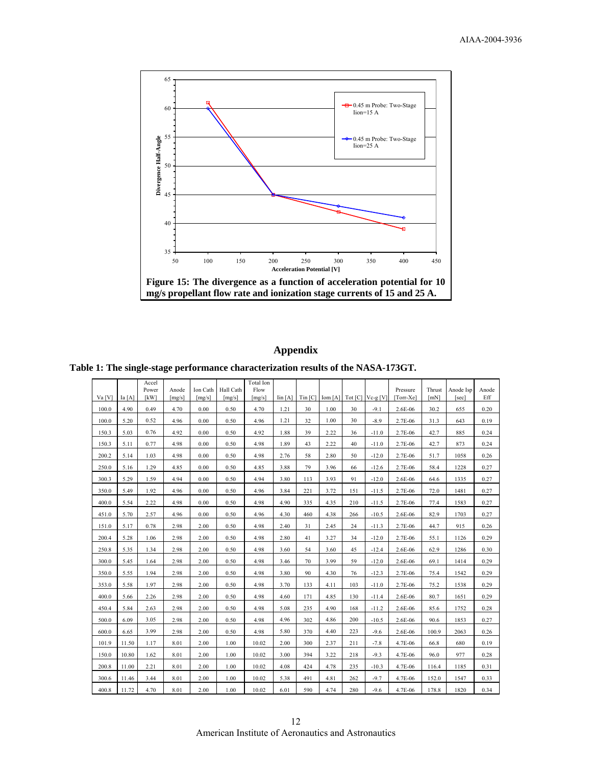

# **Appendix**

**Table 1: The single-stage performance characterization results of the NASA-173GT.** 

|          |       | Accel<br>Power | Anode  | Ion Cath | Hall Cath | Total Ion<br>Flow |                                   |              |      |     |                             | Pressure  | Thrust | Anode Isp | Anode |
|----------|-------|----------------|--------|----------|-----------|-------------------|-----------------------------------|--------------|------|-----|-----------------------------|-----------|--------|-----------|-------|
| $Va$ [V] | Ia[A] | [kW]           | [mg/s] | [mg/s]   | [mg/s]    | [mg/s]            | $\operatorname{Iin} [\mathbf{A}]$ | $T$ in $ C $ |      |     | $Iom[A]$ Tot $[C]$ Vc-g [V] | [Torr-Xe] | [mN]   | [sec]     | Eff   |
| 100.0    | 4.90  | 0.49           | 4.70   | 0.00     | 0.50      | 4.70              | 1.21                              | 30           | 1.00 | 30  | $-9.1$                      | 2.6E-06   | 30.2   | 655       | 0.20  |
| 100.0    | 5.20  | 0.52           | 4.96   | 0.00     | 0.50      | 4.96              | 1.21                              | 32           | 1.00 | 30  | $-8.9$                      | 2.7E-06   | 31.3   | 643       | 0.19  |
| 150.3    | 5.03  | 0.76           | 4.92   | 0.00     | 0.50      | 4.92              | 1.88                              | 39           | 2.22 | 36  | $-11.0$                     | 2.7E-06   | 42.7   | 885       | 0.24  |
| 150.3    | 5.11  | 0.77           | 4.98   | 0.00     | 0.50      | 4.98              | 1.89                              | 43           | 2.22 | 40  | $-11.0$                     | 2.7E-06   | 42.7   | 873       | 0.24  |
| 200.2    | 5.14  | 1.03           | 4.98   | 0.00     | 0.50      | 4.98              | 2.76                              | 58           | 2.80 | 50  | $-12.0$                     | 2.7E-06   | 51.7   | 1058      | 0.26  |
| 250.0    | 5.16  | 1.29           | 4.85   | 0.00     | 0.50      | 4.85              | 3.88                              | 79           | 3.96 | 66  | $-12.6$                     | 2.7E-06   | 58.4   | 1228      | 0.27  |
| 300.3    | 5.29  | 1.59           | 4.94   | 0.00     | 0.50      | 4.94              | 3.80                              | 113          | 3.93 | 91  | $-12.0$                     | 2.6E-06   | 64.6   | 1335      | 0.27  |
| 350.0    | 5.49  | 1.92           | 4.96   | 0.00     | 0.50      | 4.96              | 3.84                              | 221          | 3.72 | 151 | $-11.5$                     | 2.7E-06   | 72.0   | 1481      | 0.27  |
| 400.0    | 5.54  | 2.22           | 4.98   | 0.00     | 0.50      | 4.98              | 4.90                              | 335          | 4.35 | 210 | $-11.5$                     | 2.7E-06   | 77.4   | 1583      | 0.27  |
| 451.0    | 5.70  | 2.57           | 4.96   | 0.00     | 0.50      | 4.96              | 4.30                              | 460          | 4.38 | 266 | $-10.5$                     | 2.6E-06   | 82.9   | 1703      | 0.27  |
| 151.0    | 5.17  | 0.78           | 2.98   | 2.00     | 0.50      | 4.98              | 2.40                              | 31           | 2.45 | 24  | $-11.3$                     | 2.7E-06   | 44.7   | 915       | 0.26  |
| 200.4    | 5.28  | 1.06           | 2.98   | 2.00     | 0.50      | 4.98              | 2.80                              | 41           | 3.27 | 34  | $-12.0$                     | 2.7E-06   | 55.1   | 1126      | 0.29  |
| 250.8    | 5.35  | 1.34           | 2.98   | 2.00     | 0.50      | 4.98              | 3.60                              | 54           | 3.60 | 45  | $-12.4$                     | 2.6E-06   | 62.9   | 1286      | 0.30  |
| 300.0    | 5.45  | 1.64           | 2.98   | 2.00     | 0.50      | 4.98              | 3.46                              | 70           | 3.99 | 59  | $-12.0$                     | 2.6E-06   | 69.1   | 1414      | 0.29  |
| 350.0    | 5.55  | 1.94           | 2.98   | 2.00     | 0.50      | 4.98              | 3.80                              | 90           | 4.30 | 76  | $-12.3$                     | 2.7E-06   | 75.4   | 1542      | 0.29  |
| 353.0    | 5.58  | 1.97           | 2.98   | 2.00     | 0.50      | 4.98              | 3.70                              | 133          | 4.11 | 103 | $-11.0$                     | 2.7E-06   | 75.2   | 1538      | 0.29  |
| 400.0    | 5.66  | 2.26           | 2.98   | 2.00     | 0.50      | 4.98              | 4.60                              | 171          | 4.85 | 130 | $-11.4$                     | 2.6E-06   | 80.7   | 1651      | 0.29  |
| 450.4    | 5.84  | 2.63           | 2.98   | 2.00     | 0.50      | 4.98              | 5.08                              | 235          | 4.90 | 168 | $-11.2$                     | 2.6E-06   | 85.6   | 1752      | 0.28  |
| 500.0    | 6.09  | 3.05           | 2.98   | 2.00     | 0.50      | 4.98              | 4.96                              | 302          | 4.86 | 200 | $-10.5$                     | 2.6E-06   | 90.6   | 1853      | 0.27  |
| 600.0    | 6.65  | 3.99           | 2.98   | 2.00     | 0.50      | 4.98              | 5.80                              | 370          | 4.40 | 223 | $-9.6$                      | 2.6E-06   | 100.9  | 2063      | 0.26  |
| 101.9    | 11.50 | 1.17           | 8.01   | 2.00     | 1.00      | 10.02             | 2.00                              | 300          | 2.37 | 211 | $-7.8$                      | 4.7E-06   | 66.8   | 680       | 0.19  |
| 150.0    | 10.80 | 1.62           | 8.01   | 2.00     | 1.00      | 10.02             | 3.00                              | 394          | 3.22 | 218 | $-9.3$                      | 4.7E-06   | 96.0   | 977       | 0.28  |
| 200.8    | 11.00 | 2.21           | 8.01   | 2.00     | 1.00      | 10.02             | 4.08                              | 424          | 4.78 | 235 | $-10.3$                     | 4.7E-06   | 116.4  | 1185      | 0.31  |
| 300.6    | 11.46 | 3.44           | 8.01   | 2.00     | 1.00      | 10.02             | 5.38                              | 491          | 4.81 | 262 | $-9.7$                      | 4.7E-06   | 152.0  | 1547      | 0.33  |
| 400.8    | 11.72 | 4.70           | 8.01   | 2.00     | 1.00      | 10.02             | 6.01                              | 590          | 4.74 | 280 | $-9.6$                      | 4.7E-06   | 178.8  | 1820      | 0.34  |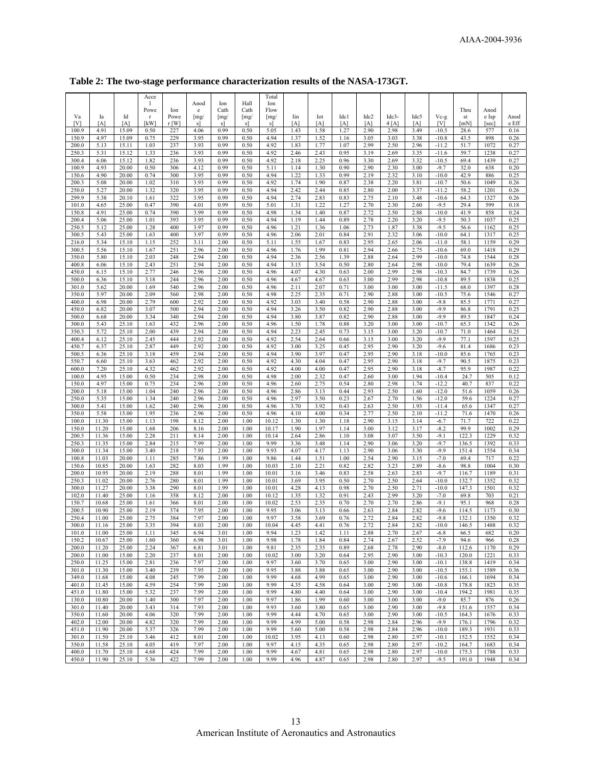|                |                |                | Acce         |            |                     |              |              | Total               |              |              |              |                  |              |              |                    |                |              |              |
|----------------|----------------|----------------|--------------|------------|---------------------|--------------|--------------|---------------------|--------------|--------------|--------------|------------------|--------------|--------------|--------------------|----------------|--------------|--------------|
|                |                |                | -1<br>Powe   | Ion        | Anod<br>e           | Ion<br>Cath  | Hall<br>Cath | Ion<br>Flow         |              |              |              |                  |              |              |                    | Thru           | Anod         |              |
| Va             | Ia             | Id             | $\mathbf{r}$ | Powe       | $\lceil \text{mg}/$ | [mg          | [mg]         | $\lceil \text{mg}/$ | Iin          | Iot          | Idc1         | Idc <sub>2</sub> | Idc3-        | Idc5         | Vc-g               | st             | e Isp        | Anod         |
| [V]            | [A]            | [A]            | [kW]         | $r$ [W]    | s]                  | s]           | <sub>s</sub> | <sub>s</sub>        | [A]          | [A]          | [A]          | [A]              | 4[A]         | [A]          | [V]                | [mN]           | [sec]        | e Eff        |
| 100.9          | 4.91           | 15.09          | 0.50         | 227        | 4.06                | 0.99         | 0.50         | 5.05                | 1.43         | 1.58         | 1.27         | 2.90             | 2.98         | 3.49         | $-10.5$            | 28.6           | 577          | 0.16         |
| 150.9<br>200.0 | 4.97<br>5.13   | 15.09          | 0.75         | 229<br>237 | 3.95<br>3.93        | 0.99         | 0.50<br>0.50 | 4.94<br>4.92        | 1.37         | 1.52         | 1.16<br>1.07 | 3.05<br>2.99     | 3.03<br>2.50 | 3.38         | $-10.8$<br>$-11.2$ | 43.5           | 898<br>1072  | 0.26<br>0.27 |
| 250.3          | 5.31           | 15.11<br>15.12 | 1.03<br>1.33 | 236        | 3.93                | 0.99<br>0.99 | 0.50         | 4.92                | 1.83<br>2.46 | 1.77<br>2.43 | 0.95         | 3.19             | 2.69         | 2.96<br>3.35 | $-11.6$            | 51.7<br>59.7   | 1238         | 0.27         |
| 300.4          | 6.06           | 15.12          | 1.82         | 236        | 3.93                | 0.99         | 0.50         | 4.92                | 2.18         | 2.25         | 0.96         | 3.30             | 2.69         | 3.32         | $-10.5$            | 69.4           | 1439         | 0.27         |
| 100.9          | 4.93           | 20.00          | 0.50         | 306        | 4.12                | 0.99         | 0.50         | 5.11                | 1.14         | 1.30         | 0.90         | 2.90             | 2.30         | 3.00         | $-9.7$             | 32.0           | 638          | 0.20         |
| 150.6          | 4.90           | 20.00          | 0.74         | 300        | 3.95                | 0.99         | 0.50         | 4.94                | 1.22         | 1.33         | 0.99         | 2.19             | 2.32         | 3.10         | $-10.0$            | 42.9           | 886          | 0.25         |
| 200.3          | 5.08           | 20.00          | 1.02         | 310        | 3.93                | 0.99         | 0.50         | 4.92                | 1.74         | 1.90         | 0.87         | 2.38             | 2.20         | 3.81         | $-10.7$            | 50.6           | 1049         | 0.26         |
| 250.0          | 5.27           | 20.00          | 1.32         | 320        | 3.95                | 0.99         | 0.50         | 4.94                | 2.42         | 2.44         | 0.85         | 2.80             | 2.00         | 3.37         | $-11.2$            | 58.2           | 1201         | 0.26         |
| 299.9<br>101.0 | 5.38<br>4.65   | 20.10<br>25.00 | 1.61<br>0.47 | 322<br>390 | 3.95<br>4.01        | 0.99<br>0.99 | 0.50<br>0.50 | 4.94<br>5.01        | 2.74<br>1.31 | 2.83<br>1.22 | 0.83<br>1.27 | 2.75<br>2.70     | 2.10<br>2.30 | 3.48<br>2.60 | $-10.6$<br>$-9.5$  | 64.3<br>29.4   | 1327<br>599  | 0.26<br>0.18 |
| 150.8          | 4.91           | 25.00          | 0.74         | 390        | 3.99                | 0.99         | 0.50         | 4.98                | 1.34         | 1.40         | 0.87         | 2.72             | 2.50         | 2.88         | $-10.0$            | 41.9           | 858          | 0.24         |
| 200.4          | 5.06           | 25.00          | 1.01         | 393        | 3.95                | 0.99         | 0.50         | 4.94                | 1.19         | 1.44         | 0.89         | 2.78             | 2.20         | 3.20         | $-9.5$             | 50.3           | 1037         | 0.25         |
| 250.5          | 5.12           | 25.00          | 1.28         | 400        | 3.97                | 0.99         | 0.50         | 4.96                | 1.21         | 1.36         | 1.06         | 2.73             | 1.87         | 3.38         | $-9.5$             | 56.6           | 1162         | 0.25         |
| 300.5          | 5.43           | 25.00          | 1.63         | 400        | 3.97                | 0.99         | 0.50         | 4.96                | 2.06         | 2.01         | 0.84         | 2.91             | 2.32         | 3.06         | $-10.0$            | 64.1           | 1317         | 0.25         |
| 216.0          | 5.34           | 15.10          | 1.15         | 252        | 3.11                | 2.00         | 0.50         | 5.11                | 1.55         | 1.67         | 0.83         | 2.95             | 2.65         | 2.06         | $-11.0$            | 58.1           | 1159         | 0.29         |
| 300.5<br>350.0 | 5.56<br>5.80   | 15.10<br>15.10 | 1.67<br>2.03 | 251<br>248 | 2.96<br>2.94        | 2.00<br>2.00 | 0.50<br>0.50 | 4.96<br>4.94        | 1.76<br>2.36 | 1.99<br>2.56 | 0.81<br>1.39 | 2.94<br>2.88     | 2.66<br>2.64 | 2.75<br>2.99 | $-10.6$<br>$-10.0$ | 69.0           | 1418<br>1544 | 0.29<br>0.28 |
| 400.8          | 6.06           | 15.10          | 2.43         | 251        | 2.94                | 2.00         | 0.50         | 4.94                | 3.15         | 3.54         | 0.50         | 2.80             | 2.64         | 2.98         | $-10.0$            | 74.8<br>79.4   | 1639         | 0.26         |
| 450.0          | 6.15           | 15.10          | 2.77         | 246        | 2.96                | 2.00         | 0.50         | 4.96                | 4.07         | 4.30         | 0.63         | 2.00             | 2.99         | 2.98         | $-10.3$            | 84.7           | 1739         | 0.26         |
| 500.0          | 6.36           | 15.10          | 3.18         | 244        | 2.96                | 2.00         | 0.50         | 4.96                | 4.67         | 4.67         | 0.63         | 3.00             | 2.99         | 2.98         | $-10.8$            | 89.5           | 1838         | 0.25         |
| 301.0          | 5.62           | 20.00          | 1.69         | 540        | 2.96                | 2.00         | 0.50         | 4.96                | 2.11         | 2.07         | 0.71         | 3.00             | 3.00         | 3.00         | $-11.5$            | 68.0           | 1397         | 0.28         |
| 350.0          | 5.97           | 20.00          | 2.09         | 560        | 2.98                | 2.00         | 0.50         | 4.98                | 2.25         | 2.35         | 0.71         | 2.90             | 2.88         | 3.00         | $-10.5$            | 75.6           | 1546         | 0.27         |
| 400.0          | 6.98           | 20.00          | 2.79<br>3.07 | 600        | 2.92<br>2.94        | 2.00         | 0.50         | 4.92<br>4.94        | 3.03<br>3.26 | 3.40         | 0.58<br>0.82 | 2.90<br>2.90     | 2.88         | 3.00         | $-9.8$<br>$-9.9$   | 85.5           | 1771<br>1791 | 0.27<br>0.25 |
| 450.0<br>500.0 | 6.82<br>6.68   | 20.00<br>20.00 | 3.34         | 500<br>340 | 2.94                | 2.00<br>2.00 | 0.50<br>0.50 | 4.94                | 3.80         | 3.50<br>3.87 | 0.82         | 2.90             | 2.88<br>2.88 | 3.00<br>3.00 | $-9.9$             | 86.8<br>89.5   | 1847         | 0.24         |
| 300.0          | 5.43           | 25.10          | 1.63         | 432        | 2.96                | 2.00         | 0.50         | 4.96                | 1.50         | 1.78         | 0.88         | 3.20             | 3.00         | 3.00         | $-10.7$            | 65.3           | 1342         | 0.26         |
| 350.3          | 5.72           | 25.10          | 2.00         | 439        | 2.94                | 2.00         | 0.50         | 4.94                | 2.23         | 2.45         | 0.73         | 3.15             | 3.00         | 3.20         | $-10.7$            | 71.0           | 1464         | 0.25         |
| 400.4          | 6.12           | 25.10          | 2.45         | 444        | 2.92                | 2.00         | 0.50         | 4.92                | 2.54         | 2.64         | 0.66         | 3.15             | 3.00         | 3.20         | $-9.9$             | 77.1           | 1597         | 0.25         |
| 450.7          | 6.37           | 25.10          | 2.87         | 449        | 2.92                | 2.00         | 0.50         | 4.92                | 3.00         | 3.25         | 0.45         | 2.95             | 2.90         | 3.20         | $-9.6$             | 81.4           | 1686         | 0.23         |
| 500.5          | 6.36           | 25.10          | 3.18         | 459        | 2.94                | 2.00         | 0.50         | 4.94                | 3.90         | 3.97         | 0.47         | 2.95             | 2.90         | 3.18         | $-10.0$            | 85.6           | 1765         | 0.23         |
| 550.7<br>600.0 | 6.60<br>7.20   | 25.10<br>25.10 | 3.63<br>4.32 | 462<br>462 | 2.92<br>2.92        | 2.00<br>2.00 | 0.50<br>0.50 | 4.92<br>4.92        | 4.30<br>4.00 | 4.04<br>4.00 | 0.47<br>0.47 | 2.95<br>2.95     | 2.90<br>2.90 | 3.18<br>3.18 | $-9.7$<br>$-8.7$   | 90.5<br>95.9   | 1875<br>1987 | 0.23<br>0.22 |
| 100.0          | 4.95           | 15.00          | 0.50         | 234        | 2.98                | 2.00         | 0.50         | 4.98                | 2.00         | 2.32         | 0.47         | 2.60             | 3.00         | 1.94         | $-10.4$            | 24.7           | 505          | 0.12         |
| 150.0          | 4.97           | 15.00          | 0.75         | 234        | 2.96                | 2.00         | 0.50         | 4.96                | 2.60         | 2.75         | 0.54         | 2.80             | 2.98         | 1.74         | $-12.2$            | 40.7           | 837          | 0.22         |
| 200.0          | 5.18           | 15.00          | 1.04         | 240        | 2.96                | 2.00         | 0.50         | 4.96                | 2.86         | 3.13         | 0.44         | 2.93             | 2.50         | 1.60         | $-12.0$            | 51.6           | 1059         | 0.26         |
| 250.0          | 5.35           | 15.00          | 1.34         | 240        | 2.96                | 2.00         | 0.50         | 4.96                | 2.97         | 3.50         | 0.23         | 2.67             | 2.70         | 1.56         | $-12.0$            | 59.6           | 1224         | 0.27         |
| 300.0          | 5.41           | 15.00          | 1.62         | 240        | 2.96                | 2.00         | 0.50         | 4.96                | 3.70         | 3.92         | 0.43         | 2.63             | 2.50         | 1.93         | $-11.4$            | 65.6           | 1347         | 0.27         |
| 350.0<br>100.0 | 5.58<br>11.30  | 15.00<br>15.00 | 1.95         | 236<br>198 | 2.96<br>8.12        | 2.00<br>2.00 | 0.50<br>1.00 | 4.96<br>10.12       | 4.10<br>1.30 | 4.00<br>1.30 | 0.34<br>1.18 | 2.77<br>2.90     | 2.50<br>3.15 | 2.10<br>3.14 | $-11.2$<br>$-6.7$  | 71.6           | 1470         | 0.26<br>0.22 |
| 150.0          |                |                |              |            |                     |              |              |                     |              |              |              | 3.00             |              | 3.17         |                    |                |              |              |
|                |                |                | 1.13         |            |                     |              |              |                     |              |              |              |                  |              |              |                    | 71.7           | 722          |              |
| 200.5          | 11.20<br>11.36 | 15.00<br>15.00 | 1.68<br>2.28 | 206<br>211 | 8.16<br>8.14        | 2.00<br>2.00 | 1.00<br>1.00 | 10.17<br>10.14      | 1.90<br>2.64 | 1.97<br>2.86 | 1.14<br>1.10 | 3.08             | 3.12<br>3.07 | 3.50         | $-8.2$<br>$-9.1$   | 99.9<br>122.3  | 1002<br>1229 | 0.29<br>0.32 |
| 250.3          | 11.35          | 15.00          | 2.84         | 215        | 7.99                | 2.00         | 1.00         | 9.99                | 3.36         | 3.48         | 1.14         | 2.90             | 3.06         | 3.20         | $-9.7$             | 136.5          | 1392         | 0.33         |
| 300.0          | 11.34          | 15.00          | 3.40         | 218        | 7.93                | 2.00         | 1.00         | 9.93                | 4.07         | 4.17         | 1.13         | 2.90             | 3.06         | 3.30         | $-9.9$             | 151.4          | 1554         | 0.34         |
| 100.8          | 11.03          | 20.00          | 1.11         | 285        | 7.86                | 1.99         | 1.00         | 9.86                | 1.44         | 1.51         | 1.00         | 2.54             | 2.90         | 3.15         | $-7.0$             | 69.4           | 717          | 0.22         |
| 150.6          | 10.85          | 20.00          | 1.63         | 282        | 8.03                | 1.99         | 1.00         | 10.03               | 2.10         | 2.21         | 0.82         | 2.82             | 3.23         | 2.89         | $-8.6$             | 98.8           | 1004         | 0.30         |
| 200.0<br>250.3 | 10.95<br>11.02 | 20.00<br>20.00 | 2.19<br>2.76 | 288<br>280 | 8.01<br>8.01        | 1.99<br>1.99 | 1.00<br>1.00 | 10.01<br>10.01      | 3.16<br>3.69 | 3.46<br>3.95 | 0.83<br>0.50 | 2.58<br>2.70     | 2.63<br>2.50 | 2.83<br>2.64 | $-9.7$<br>$-10.0$  | 116.7<br>132.7 | 1189<br>1352 | 0.31<br>0.32 |
| 300.0          | 11.27          | 20.00          | 3.38         | 290        | 8.01                | 1.99         | 1.00         | 10.01               | 4.28         | 4.13         | 0.98         | 2.70             | 2.50         | 2.71         | $-10.0$            | 147.3          | 1501         | 0.32         |
| 102.0          | 11.40          | 25.00          | 1.16         | 358        | 8.12                | 2.00         | 1.00         | 10.12               | 1.35         | 1.32         | 0.91         | 2.43             | 2.99         | 3.20         | $-7.0$             | 69.8           | 703          | 0.21         |
| 150.7          | 10.68          | 25.00          | 1.61         | 366        | 8.01                | 2.00         | 1.00         | 10.02               | 2.53         | 2.35         | 0.70         | 2.70             | 2.70         | 2.86         | $-9.1$             | 95.1           | 968          | 0.28         |
| 200.5          | 10.90          | 25.00          | 2.19         | 374        | 7.95                | 2.00         | 1.00         | 9.95                | 3.06         | 3.13         | 0.66         | 2.63             | 2.84         | 2.82         | $-9.6$             | 114.5          | 1173         | 0.30         |
| 250.4<br>300.0 | 11.00<br>11.16 | 25.00<br>25.00 | 2.75<br>3.35 | 384<br>394 | 7.97<br>8.03        | 2.00<br>2.00 | 1.00<br>1.00 | 9.97<br>10.04       | 3.58<br>4.45 | 3.69<br>4.41 | 0.76<br>0.76 | 2.72<br>2.72     | 2.84<br>2.84 | 2.82<br>2.82 | $-9.8$<br>$-10.0$  | 132.1<br>146.5 | 1350<br>1488 | 0.32<br>0.32 |
| 101.0          | 11.00          | 25.00          | 1.11         | 345        | 6.94                | 3.01         | 1.00         | 9.94                | 1.23         | 1.42         | 1.11         | 2.88             | 2.70         | 2.67         | $-6.8$             | 66.5           | 682          | 0.20         |
| 150.2          | 10.67          | 25.00          | 1.60         | 360        | 6.98                | 3.01         | 1.00         | 9.98                | 1.78         | 1.84         | 0.84         | 2.74             | 2.67         | 2.52         | $-7.9$             | 94.6           | 966          | 0.28         |
| 200.0          | 11.20          | 25.00          | 2.24         | 367        | 6.81                | 3.01         | 1.00         | 9.81                | 2.35         | 2.35         | 0.89         | 2.68             | 2.78         | 2.90         | $-8.0$             | 112.6          | 1170         | 0.29         |
| 200.0          | 11.00          | 15.00          | 2.20         | 237        | 8.01                | 2.00         | 1.00         | 10.02               | 3.00         | 3.20         | 0.64         | 2.95             | 2.90         | 3.00         | $-10.3$            | 120.0          | 1221         | 0.33         |
| 250.0          | 11.25          | 15.00          | 2.81         | 236        | 7.97                | 2.00         | 1.00         | 9.97                | 3.60         | 3.70         | 0.65         | 3.00             | 2.90         | 3.00         | $-10.1$            | 138.8          | 1419         | 0.34         |
| 301.0<br>349.0 | 11.30<br>11.68 | 15.00          | 3.40<br>4.08 | 239<br>245 | 7.95<br>7.99        | 2.00<br>2.00 | 1.00<br>1.00 | 9.95<br>9.99        | 3.88<br>4.68 | 3.88<br>4.99 | 0.65<br>0.65 | 3.00<br>3.00     | 2.90<br>2.90 | 3.00<br>3.00 | $-10.5$<br>$-10.6$ | 155.1<br>166.1 | 1589<br>1694 | 0.36<br>0.34 |
| 401.0          | 11.45          | 15.00<br>15.00 | 4.59         | 254        | 7.99                | 2.00         | 1.00         | 9.99                | 4.35         | 4.58         | 0.64         | 3.00             | 2.90         | 3.00         | $-10.8$            | 178.8          | 1823         | 0.35         |
| 451.0          | 11.80          | 15.00          | 5.32         | 237        | 7.99                | 2.00         | 1.00         | 9.99                | 4.80         | 4.40         | 0.64         | 3.00             | 2.90         | 3.00         | $-10.4$            | 194.2          | 1981         | 0.35         |
| 130.0          | 10.80          | 20.00          | 1.40         | 300        | 7.97                | 2.00         | 1.00         | 9.97                | 1.86         | 1.99         | 0.60         | 3.00             | 3.00         | 3.00         | $-9.0$             | 85.7           | 876          | 0.26         |
| 301.0          | 11.40          | 20.00          | 3.43         | 314        | 7.93                | 2.00         | 1.00         | 9.93                | 3.60         | 3.80         | 0.65         | 3.00             | 2.90         | 3.00         | $-9.8$             | 151.6          | 1557         | 0.34         |
| 350.0          | 11.60          | 20.00          | 4.06         | 320        | 7.99                | 2.00         | 1.00         | 9.99                | 4.44         | 4.70         | 0.65         | 3.00             | 2.90         | 3.00         | $-10.5$            | 164.3          | 1676         | 0.33         |
| 402.0          | 12.00          | 20.00          | 4.82         | 320        | 7.99                | 2.00         | 1.00         | 9.99                | 4.99         | 5.00         | 0.58         | 2.98             | 2.84         | 2.96         | $-9.9$             | 176.1          | 1796         | 0.32         |
| 451.0<br>301.0 | 11.90<br>11.50 | 20.00<br>25.10 | 5.37<br>3.46 | 326<br>412 | 7.99<br>8.01        | 2.00<br>2.00 | 1.00<br>1.00 | 9.99<br>10.02       | 5.60<br>3.95 | 5.00<br>4.13 | 0.58<br>0.60 | 2.98<br>2.98     | 2.84<br>2.80 | 2.96<br>2.97 | $-10.0$<br>$-10.1$ | 189.3<br>152.5 | 1931<br>1552 | 0.33<br>0.34 |
| 350.0          | 11.58          | 25.10          | 4.05         | 419        | 7.97                | 2.00         | 1.00         | 9.97                | 4.15         | 4.35         | 0.65         | 2.98             | 2.80         | 2.97         | $-10.2$            | 164.7          | 1683         | 0.34         |
| 400.0<br>450.0 | 11.70<br>11.90 | 25.10<br>25.10 | 4.68<br>5.36 | 424<br>422 | 7.99<br>7.99        | 2.00<br>2.00 | 1.00<br>1.00 | 9.99<br>9.99        | 4.67<br>4.96 | 4.81<br>4.87 | 0.65<br>0.65 | 2.98<br>2.98     | 2.80<br>2.80 | 2.97<br>2.97 | $-10.0$<br>$-9.5$  | 175.3<br>191.0 | 1788<br>1948 | 0.33<br>0.34 |

**Table 2: The two-stage performance characterization results of the NASA-173GT.**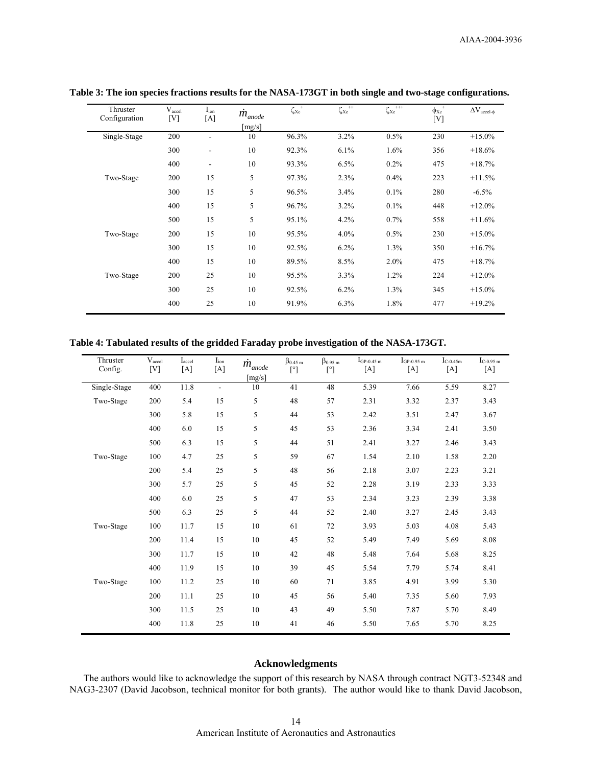| Thruster<br>Configuration | V <sub>accel</sub><br>$[V]$ | $I_{ion}$<br>[A] | $\dot{m}_{anode}$ | ${\zeta_{{\rm X}e}}^{+}$ | ${\zeta_{{\rm X} {\rm e}}}^{++}$ | ${\zeta_{{\rm X} {\rm e} }^{}}^{+++}$ | $\varphi_{Xe}^{\quad \, +}$<br>[V] | $\Delta V_{accel-\phi}$ |
|---------------------------|-----------------------------|------------------|-------------------|--------------------------|----------------------------------|---------------------------------------|------------------------------------|-------------------------|
| Single-Stage              | 200                         |                  | [mg/s]<br>10      | 96.3%                    | 3.2%                             | 0.5%                                  | 230                                | $+15.0%$                |
|                           | 300                         |                  | 10                | 92.3%                    | 6.1%                             | 1.6%                                  | 356                                | $+18.6%$                |
|                           | 400                         | L,               | 10                | 93.3%                    | 6.5%                             | 0.2%                                  | 475                                | $+18.7%$                |
| Two-Stage                 | 200                         | 15               | 5                 | 97.3%                    | 2.3%                             | 0.4%                                  | 223                                | $+11.5%$                |
|                           | 300                         | 15               | 5                 | 96.5%                    | 3.4%                             | 0.1%                                  | 280                                | $-6.5%$                 |
|                           | 400                         | 15               | 5                 | 96.7%                    | 3.2%                             | 0.1%                                  | 448                                | $+12.0%$                |
|                           | 500                         | 15               | 5                 | 95.1%                    | 4.2%                             | 0.7%                                  | 558                                | $+11.6%$                |
| Two-Stage                 | 200                         | 15               | 10                | 95.5%                    | $4.0\%$                          | 0.5%                                  | 230                                | $+15.0%$                |
|                           | 300                         | 15               | 10                | 92.5%                    | $6.2\%$                          | 1.3%                                  | 350                                | $+16.7%$                |
|                           | 400                         | 15               | 10                | 89.5%                    | 8.5%                             | 2.0%                                  | 475                                | $+18.7%$                |
| Two-Stage                 | 200                         | 25               | 10                | 95.5%                    | 3.3%                             | 1.2%                                  | 224                                | $+12.0%$                |
|                           | 300                         | 25               | 10                | 92.5%                    | $6.2\%$                          | 1.3%                                  | 345                                | $+15.0%$                |
|                           | 400                         | 25               | 10                | 91.9%                    | 6.3%                             | 1.8%                                  | 477                                | $+19.2%$                |

**Table 3: The ion species fractions results for the NASA-173GT in both single and two-stage configurations.** 

**Table 4: Tabulated results of the gridded Faraday probe investigation of the NASA-173GT.** 

| Thruster<br>Config. | $V_{\text{accel}}$<br>[V] | $I_{\text{accel}}$<br>[A] | $I_{ion}$<br>$[{\rm A}]$ | $\dot{m}_{anode}$<br>[mg/s] | $\beta_{0.45\ m}$<br>$[^{\circ}]$ | $\beta_{0.95\ m}$<br>$[^{\circ}]$ | $IGP-0.45$ m<br>[A] | $I_{GP-0.95\ m}$<br>[A] | $I_{C-0.45m}$<br>[A] | $I_{C-0.95\ m}$<br>$[{\rm A}]$ |
|---------------------|---------------------------|---------------------------|--------------------------|-----------------------------|-----------------------------------|-----------------------------------|---------------------|-------------------------|----------------------|--------------------------------|
| Single-Stage        | 400                       | 11.8                      | $\blacksquare$           | 10                          | 41                                | 48                                | 5.39                | 7.66                    | 5.59                 | 8.27                           |
| Two-Stage           | 200                       | 5.4                       | 15                       | 5                           | 48                                | 57                                | 2.31                | 3.32                    | 2.37                 | 3.43                           |
|                     | 300                       | 5.8                       | 15                       | 5                           | 44                                | 53                                | 2.42                | 3.51                    | 2.47                 | 3.67                           |
|                     | 400                       | 6.0                       | 15                       | 5                           | 45                                | 53                                | 2.36                | 3.34                    | 2.41                 | 3.50                           |
|                     | 500                       | 6.3                       | 15                       | 5                           | 44                                | 51                                | 2.41                | 3.27                    | 2.46                 | 3.43                           |
| Two-Stage           | 100                       | 4.7                       | 25                       | 5                           | 59                                | 67                                | 1.54                | 2.10                    | 1.58                 | 2.20                           |
|                     | 200                       | 5.4                       | 25                       | 5                           | 48                                | 56                                | 2.18                | 3.07                    | 2.23                 | 3.21                           |
|                     | 300                       | 5.7                       | 25                       | 5                           | 45                                | 52                                | 2.28                | 3.19                    | 2.33                 | 3.33                           |
|                     | 400                       | 6.0                       | 25                       | 5                           | 47                                | 53                                | 2.34                | 3.23                    | 2.39                 | 3.38                           |
|                     | 500                       | 6.3                       | 25                       | 5                           | 44                                | 52                                | 2.40                | 3.27                    | 2.45                 | 3.43                           |
| Two-Stage           | 100                       | 11.7                      | 15                       | 10                          | 61                                | 72                                | 3.93                | 5.03                    | 4.08                 | 5.43                           |
|                     | 200                       | 11.4                      | 15                       | 10                          | 45                                | 52                                | 5.49                | 7.49                    | 5.69                 | 8.08                           |
|                     | 300                       | 11.7                      | 15                       | 10                          | 42                                | 48                                | 5.48                | 7.64                    | 5.68                 | 8.25                           |
|                     | 400                       | 11.9                      | 15                       | 10                          | 39                                | 45                                | 5.54                | 7.79                    | 5.74                 | 8.41                           |
| Two-Stage           | 100                       | 11.2                      | 25                       | 10                          | 60                                | 71                                | 3.85                | 4.91                    | 3.99                 | 5.30                           |
|                     | 200                       | 11.1                      | 25                       | 10                          | 45                                | 56                                | 5.40                | 7.35                    | 5.60                 | 7.93                           |
|                     | 300                       | 11.5                      | 25                       | 10                          | 43                                | 49                                | 5.50                | 7.87                    | 5.70                 | 8.49                           |
|                     | 400                       | 11.8                      | 25                       | 10                          | 41                                | 46                                | 5.50                | 7.65                    | 5.70                 | 8.25                           |

# **Acknowledgments**

The authors would like to acknowledge the support of this research by NASA through contract NGT3-52348 and NAG3-2307 (David Jacobson, technical monitor for both grants). The author would like to thank David Jacobson,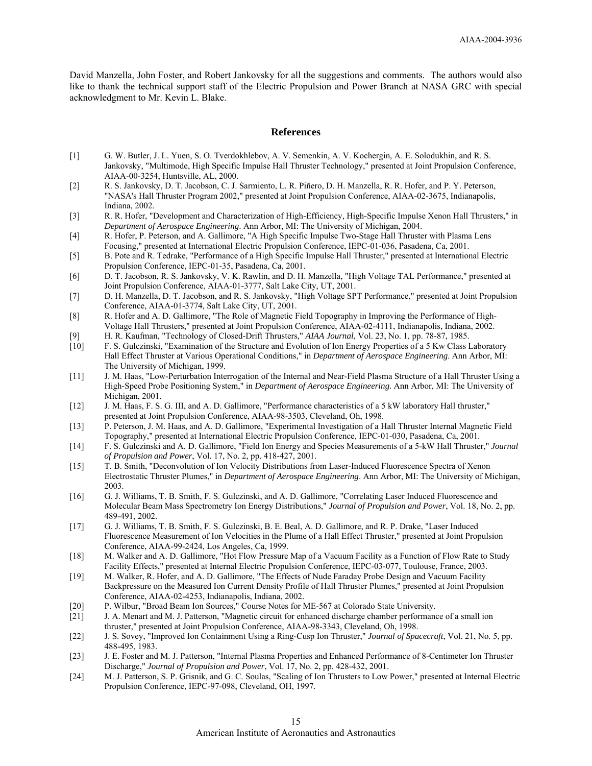David Manzella, John Foster, and Robert Jankovsky for all the suggestions and comments. The authors would also like to thank the technical support staff of the Electric Propulsion and Power Branch at NASA GRC with special acknowledgment to Mr. Kevin L. Blake.

#### **References**

- [1] G. W. Butler, J. L. Yuen, S. O. Tverdokhlebov, A. V. Semenkin, A. V. Kochergin, A. E. Solodukhin, and R. S. Jankovsky, "Multimode, High Specific Impulse Hall Thruster Technology," presented at Joint Propulsion Conference, AIAA-00-3254, Huntsville, AL, 2000.
- [2] R. S. Jankovsky, D. T. Jacobson, C. J. Sarmiento, L. R. Piñero, D. H. Manzella, R. R. Hofer, and P. Y. Peterson, "NASA's Hall Thruster Program 2002," presented at Joint Propulsion Conference, AIAA-02-3675, Indianapolis, Indiana, 2002.
- [3] R. R. Hofer, "Development and Characterization of High-Efficiency, High-Specific Impulse Xenon Hall Thrusters," in *Department of Aerospace Engineering*. Ann Arbor, MI: The University of Michigan, 2004.
- [4] R. Hofer, P. Peterson, and A. Gallimore, "A High Specific Impulse Two-Stage Hall Thruster with Plasma Lens Focusing," presented at International Electric Propulsion Conference, IEPC-01-036, Pasadena, Ca, 2001.
- [5] B. Pote and R. Tedrake, "Performance of a High Specific Impulse Hall Thruster," presented at International Electric Propulsion Conference, IEPC-01-35, Pasadena, Ca, 2001.
- [6] D. T. Jacobson, R. S. Jankovsky, V. K. Rawlin, and D. H. Manzella, "High Voltage TAL Performance," presented at Joint Propulsion Conference, AIAA-01-3777, Salt Lake City, UT, 2001.
- [7] D. H. Manzella, D. T. Jacobson, and R. S. Jankovsky, "High Voltage SPT Performance," presented at Joint Propulsion Conference, AIAA-01-3774, Salt Lake City, UT, 2001.
- [8] R. Hofer and A. D. Gallimore, "The Role of Magnetic Field Topography in Improving the Performance of High-Voltage Hall Thrusters," presented at Joint Propulsion Conference, AIAA-02-4111, Indianapolis, Indiana, 2002.
- [9] H. R. Kaufman, "Technology of Closed-Drift Thrusters," *AIAA Journal*, Vol. 23, No. 1, pp. 78-87, 1985.
- F. S. Gulczinski, "Examination of the Structure and Evolution of Ion Energy Properties of a 5 Kw Class Laboratory Hall Effect Thruster at Various Operational Conditions," in *Department of Aerospace Engineering*. Ann Arbor, MI: The University of Michigan, 1999.
- [11] J. M. Haas, "Low-Perturbation Interrogation of the Internal and Near-Field Plasma Structure of a Hall Thruster Using a High-Speed Probe Positioning System," in *Department of Aerospace Engineering*. Ann Arbor, MI: The University of Michigan, 2001.
- [12] J. M. Haas, F. S. G. III, and A. D. Gallimore, "Performance characteristics of a 5 kW laboratory Hall thruster," presented at Joint Propulsion Conference, AIAA-98-3503, Cleveland, Oh, 1998.
- [13] P. Peterson, J. M. Haas, and A. D. Gallimore, "Experimental Investigation of a Hall Thruster Internal Magnetic Field Topography," presented at International Electric Propulsion Conference, IEPC-01-030, Pasadena, Ca, 2001.
- [14] F. S. Gulczinski and A. D. Gallimore, "Field Ion Energy and Species Measurements of a 5-kW Hall Thruster," *Journal of Propulsion and Power*, Vol. 17, No. 2, pp. 418-427, 2001.
- [15] T. B. Smith, "Deconvolution of Ion Velocity Distributions from Laser-Induced Fluorescence Spectra of Xenon Electrostatic Thruster Plumes," in *Department of Aerospace Engineering*. Ann Arbor, MI: The University of Michigan, 2003.
- [16] G. J. Williams, T. B. Smith, F. S. Gulczinski, and A. D. Gallimore, "Correlating Laser Induced Fluorescence and Molecular Beam Mass Spectrometry Ion Energy Distributions," *Journal of Propulsion and Power*, Vol. 18, No. 2, pp. 489-491, 2002.
- [17] G. J. Williams, T. B. Smith, F. S. Gulczinski, B. E. Beal, A. D. Gallimore, and R. P. Drake, "Laser Induced Fluorescence Measurement of Ion Velocities in the Plume of a Hall Effect Thruster," presented at Joint Propulsion Conference, AIAA-99-2424, Los Angeles, Ca, 1999.
- [18] M. Walker and A. D. Gallimore, "Hot Flow Pressure Map of a Vacuum Facility as a Function of Flow Rate to Study Facility Effects," presented at Internal Electric Propulsion Conference, IEPC-03-077, Toulouse, France, 2003.
- [19] M. Walker, R. Hofer, and A. D. Gallimore, "The Effects of Nude Faraday Probe Design and Vacuum Facility Backpressure on the Measured Ion Current Density Profile of Hall Thruster Plumes," presented at Joint Propulsion Conference, AIAA-02-4253, Indianapolis, Indiana, 2002.
- [20] P. Wilbur, "Broad Beam Ion Sources," Course Notes for ME-567 at Colorado State University.
- [21] J. A. Menart and M. J. Patterson, "Magnetic circuit for enhanced discharge chamber performance of a small ion thruster," presented at Joint Propulsion Conference, AIAA-98-3343, Cleveland, Oh, 1998.
- [22] J. S. Sovey, "Improved Ion Containment Using a Ring-Cusp Ion Thruster," *Journal of Spacecraft*, Vol. 21, No. 5, pp. 488-495, 1983.
- [23] J. E. Foster and M. J. Patterson, "Internal Plasma Properties and Enhanced Performance of 8-Centimeter Ion Thruster Discharge," *Journal of Propulsion and Power*, Vol. 17, No. 2, pp. 428-432, 2001.
- [24] M. J. Patterson, S. P. Grisnik, and G. C. Soulas, "Scaling of Ion Thrusters to Low Power," presented at Internal Electric Propulsion Conference, IEPC-97-098, Cleveland, OH, 1997.